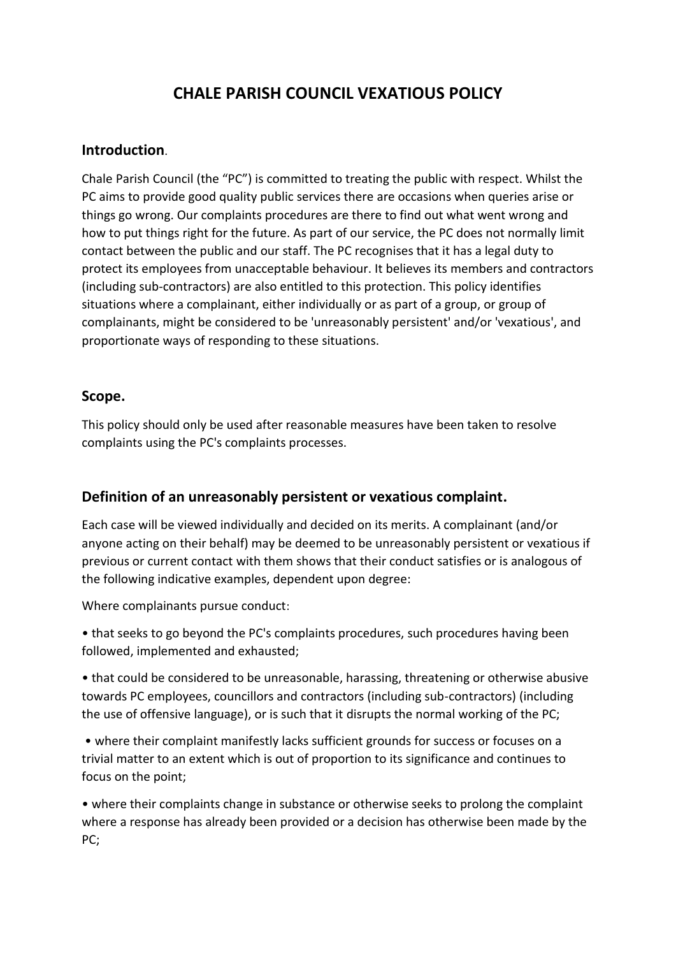# **CHALE PARISH COUNCIL VEXATIOUS POLICY**

#### **Introduction**.

Chale Parish Council (the "PC") is committed to treating the public with respect. Whilst the PC aims to provide good quality public services there are occasions when queries arise or things go wrong. Our complaints procedures are there to find out what went wrong and how to put things right for the future. As part of our service, the PC does not normally limit contact between the public and our staff. The PC recognises that it has a legal duty to protect its employees from unacceptable behaviour. It believes its members and contractors (including sub-contractors) are also entitled to this protection. This policy identifies situations where a complainant, either individually or as part of a group, or group of complainants, might be considered to be 'unreasonably persistent' and/or 'vexatious', and proportionate ways of responding to these situations.

### **Scope.**

This policy should only be used after reasonable measures have been taken to resolve complaints using the PC's complaints processes.

## **Definition of an unreasonably persistent or vexatious complaint.**

Each case will be viewed individually and decided on its merits. A complainant (and/or anyone acting on their behalf) may be deemed to be unreasonably persistent or vexatious if previous or current contact with them shows that their conduct satisfies or is analogous of the following indicative examples, dependent upon degree:

Where complainants pursue conduct:

• that seeks to go beyond the PC's complaints procedures, such procedures having been followed, implemented and exhausted;

• that could be considered to be unreasonable, harassing, threatening or otherwise abusive towards PC employees, councillors and contractors (including sub-contractors) (including the use of offensive language), or is such that it disrupts the normal working of the PC;

• where their complaint manifestly lacks sufficient grounds for success or focuses on a trivial matter to an extent which is out of proportion to its significance and continues to focus on the point;

• where their complaints change in substance or otherwise seeks to prolong the complaint where a response has already been provided or a decision has otherwise been made by the PC;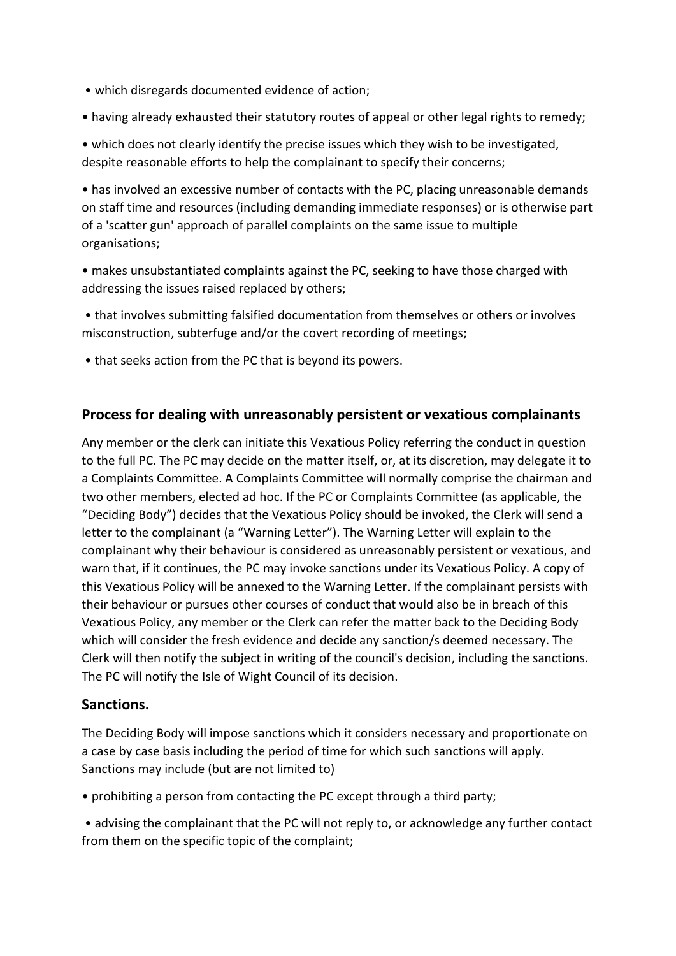- which disregards documented evidence of action;
- having already exhausted their statutory routes of appeal or other legal rights to remedy;

• which does not clearly identify the precise issues which they wish to be investigated, despite reasonable efforts to help the complainant to specify their concerns;

• has involved an excessive number of contacts with the PC, placing unreasonable demands on staff time and resources (including demanding immediate responses) or is otherwise part of a 'scatter gun' approach of parallel complaints on the same issue to multiple organisations;

• makes unsubstantiated complaints against the PC, seeking to have those charged with addressing the issues raised replaced by others;

• that involves submitting falsified documentation from themselves or others or involves misconstruction, subterfuge and/or the covert recording of meetings;

• that seeks action from the PC that is beyond its powers.

### **Process for dealing with unreasonably persistent or vexatious complainants**

Any member or the clerk can initiate this Vexatious Policy referring the conduct in question to the full PC. The PC may decide on the matter itself, or, at its discretion, may delegate it to a Complaints Committee. A Complaints Committee will normally comprise the chairman and two other members, elected ad hoc. If the PC or Complaints Committee (as applicable, the "Deciding Body") decides that the Vexatious Policy should be invoked, the Clerk will send a letter to the complainant (a "Warning Letter"). The Warning Letter will explain to the complainant why their behaviour is considered as unreasonably persistent or vexatious, and warn that, if it continues, the PC may invoke sanctions under its Vexatious Policy. A copy of this Vexatious Policy will be annexed to the Warning Letter. If the complainant persists with their behaviour or pursues other courses of conduct that would also be in breach of this Vexatious Policy, any member or the Clerk can refer the matter back to the Deciding Body which will consider the fresh evidence and decide any sanction/s deemed necessary. The Clerk will then notify the subject in writing of the council's decision, including the sanctions. The PC will notify the Isle of Wight Council of its decision.

#### **Sanctions.**

The Deciding Body will impose sanctions which it considers necessary and proportionate on a case by case basis including the period of time for which such sanctions will apply. Sanctions may include (but are not limited to)

• prohibiting a person from contacting the PC except through a third party;

• advising the complainant that the PC will not reply to, or acknowledge any further contact from them on the specific topic of the complaint;